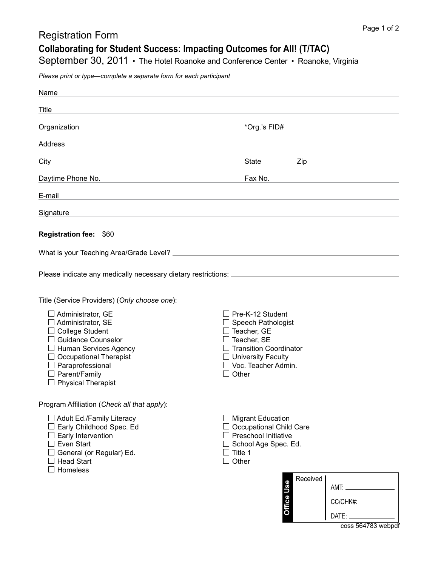## Registration Form

**Collaborating for Student Success: Impacting Outcomes for All! (T/TAC)**

September 30, 2011 • The Hotel Roanoke and Conference Center • Roanoke, Virginia

*Please print or type—complete a separate form for each participant*

| Name                                                                                                                                                                                                                                                                             |                                                                                                                                                                                  |                                            |
|----------------------------------------------------------------------------------------------------------------------------------------------------------------------------------------------------------------------------------------------------------------------------------|----------------------------------------------------------------------------------------------------------------------------------------------------------------------------------|--------------------------------------------|
| <b>Title</b>                                                                                                                                                                                                                                                                     |                                                                                                                                                                                  |                                            |
| Organization<br>the control of the control of the control of the control of the control of                                                                                                                                                                                       | *Org.'s FID#                                                                                                                                                                     |                                            |
| Address                                                                                                                                                                                                                                                                          |                                                                                                                                                                                  |                                            |
| City                                                                                                                                                                                                                                                                             | State<br>Zip                                                                                                                                                                     |                                            |
| Daytime Phone No.<br><u> 1989 - Johann Barn, amerikansk politiker (</u>                                                                                                                                                                                                          | Fax No.                                                                                                                                                                          |                                            |
| E-mail<br>and the control of the control of the control of the control of the control of the control of the control of the                                                                                                                                                       |                                                                                                                                                                                  |                                            |
| Signature<br>and the control of the control of the control of the control of the control of the control of the control of the                                                                                                                                                    |                                                                                                                                                                                  |                                            |
|                                                                                                                                                                                                                                                                                  |                                                                                                                                                                                  |                                            |
| Registration fee: \$60                                                                                                                                                                                                                                                           |                                                                                                                                                                                  |                                            |
|                                                                                                                                                                                                                                                                                  |                                                                                                                                                                                  |                                            |
|                                                                                                                                                                                                                                                                                  |                                                                                                                                                                                  |                                            |
| Title (Service Providers) (Only choose one):<br>$\Box$ Administrator, GE<br>Administrator, SE<br><b>College Student</b><br><b>Guidance Counselor</b><br>Human Services Agency<br><b>Occupational Therapist</b><br>Paraprofessional<br>Parent/Family<br>$\Box$ Physical Therapist | $\Box$ Pre-K-12 Student<br>Speech Pathologist<br>Teacher, GE<br>Teacher, SE<br><b>Transition Coordinator</b><br>$\Box$ University Faculty<br>Voc. Teacher Admin.<br>$\Box$ Other |                                            |
| Program Affiliation (Check all that apply):<br>□ Adult Ed./Family Literacy<br>Early Childhood Spec. Ed<br>$\Box$ Early Intervention<br>$\Box$ Even Start<br>General (or Regular) Ed.<br><b>Head Start</b><br>Homeless                                                            | $\Box$ Migrant Education<br>$\Box$ Occupational Child Care<br>$\Box$ Preschool Initiative<br>$\Box$ School Age Spec. Ed.<br>$\Box$ Title 1<br>$\Box$ Other<br>Office Use         | Received<br>CC/CHK#: ____________<br>DATE: |

coss 564783 webpdf